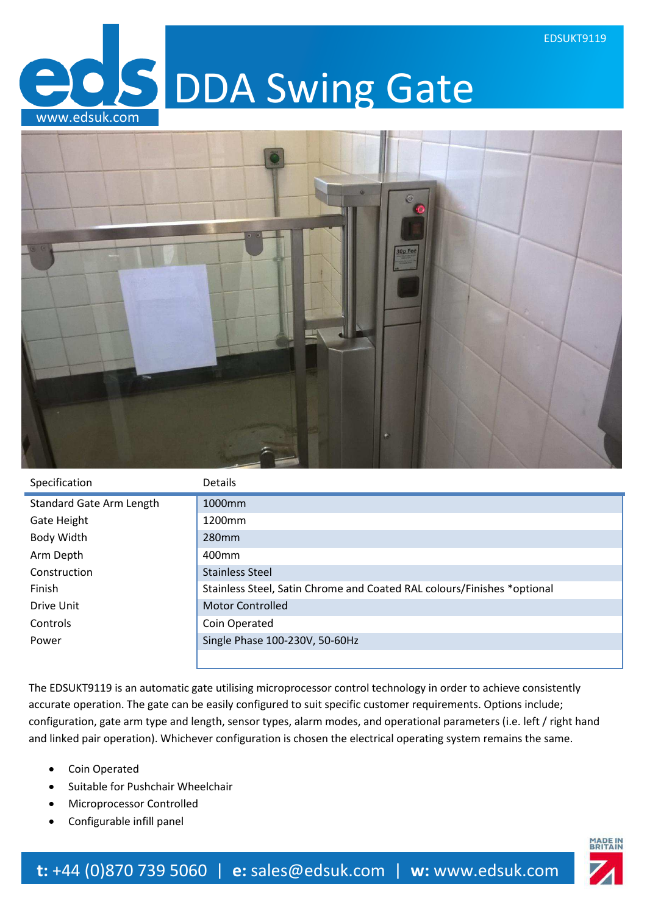**DDA Swing Gate** www.edsuk.com



| Specification                   | <b>Details</b>                                                          |
|---------------------------------|-------------------------------------------------------------------------|
| <b>Standard Gate Arm Length</b> | 1000 <sub>mm</sub>                                                      |
| Gate Height                     | 1200 <sub>mm</sub>                                                      |
| Body Width                      | 280 <sub>mm</sub>                                                       |
| Arm Depth                       | 400 <sub>mm</sub>                                                       |
| Construction                    | <b>Stainless Steel</b>                                                  |
| Finish                          | Stainless Steel, Satin Chrome and Coated RAL colours/Finishes *optional |
| Drive Unit                      | <b>Motor Controlled</b>                                                 |
| Controls                        | Coin Operated                                                           |
| Power                           | Single Phase 100-230V, 50-60Hz                                          |
|                                 |                                                                         |

The EDSUKT9119 is an automatic gate utilising microprocessor control technology in order to achieve consistently accurate operation. The gate can be easily configured to suit specific customer requirements. Options include; configuration, gate arm type and length, sensor types, alarm modes, and operational parameters (i.e. left / right hand and linked pair operation). Whichever configuration is chosen the electrical operating system remains the same.

- Coin Operated
- Suitable for Pushchair Wheelchair
- Microprocessor Controlled
- Configurable infill panel